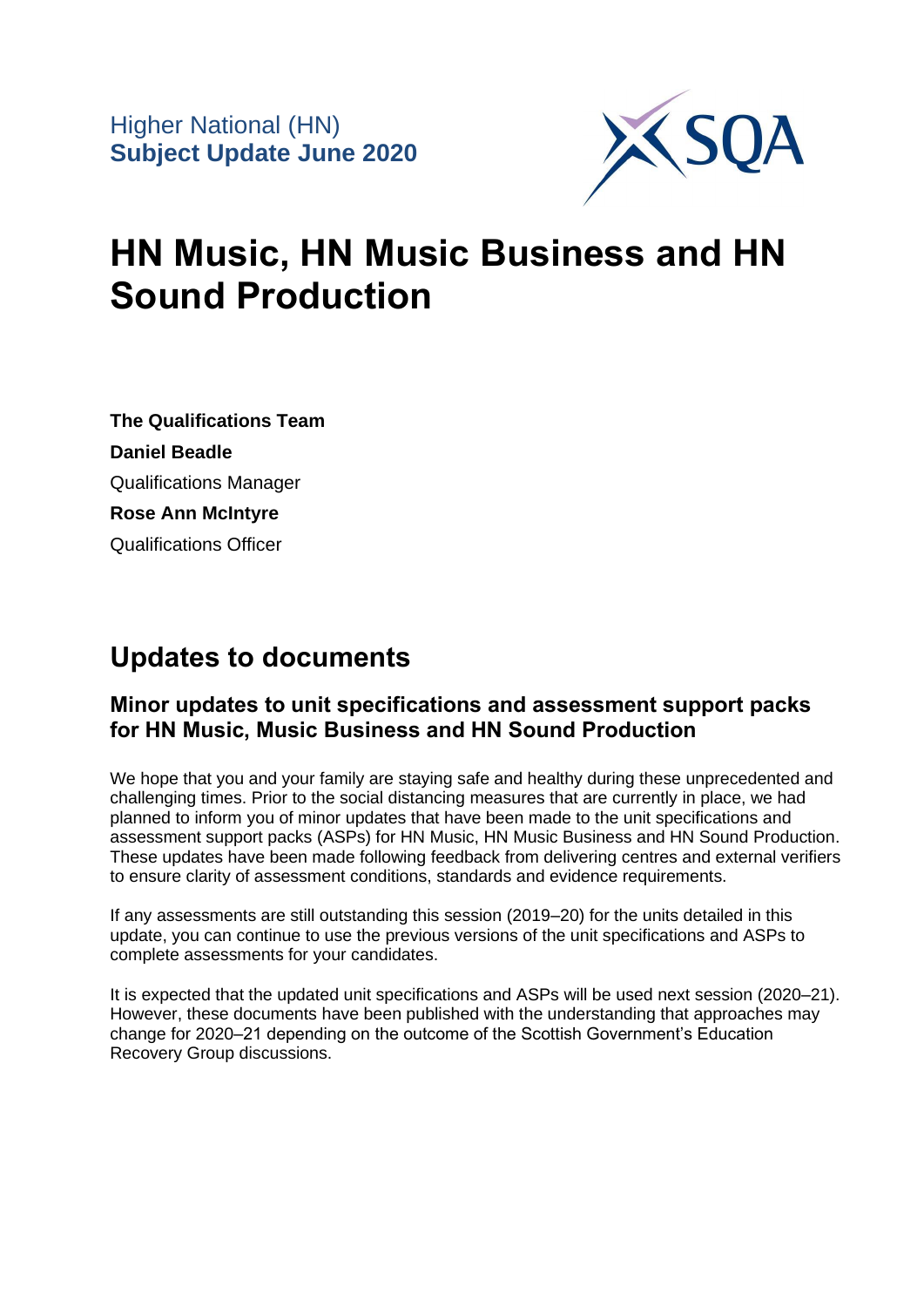

# **HN Music, HN Music Business and HN Sound Production**

**The Qualifications Team Daniel Beadle** Qualifications Manager **Rose Ann McIntyre** Qualifications Officer

## **Updates to documents**

### **Minor updates to unit specifications and assessment support packs for HN Music, Music Business and HN Sound Production**

We hope that you and your family are staying safe and healthy during these unprecedented and challenging times. Prior to the social distancing measures that are currently in place, we had planned to inform you of minor updates that have been made to the unit specifications and assessment support packs (ASPs) for HN Music, HN Music Business and HN Sound Production. These updates have been made following feedback from delivering centres and external verifiers to ensure clarity of assessment conditions, standards and evidence requirements.

If any assessments are still outstanding this session (2019–20) for the units detailed in this update, you can continue to use the previous versions of the unit specifications and ASPs to complete assessments for your candidates.

It is expected that the updated unit specifications and ASPs will be used next session (2020–21). However, these documents have been published with the understanding that approaches may change for 2020–21 depending on the outcome of the Scottish Government's Education Recovery Group discussions.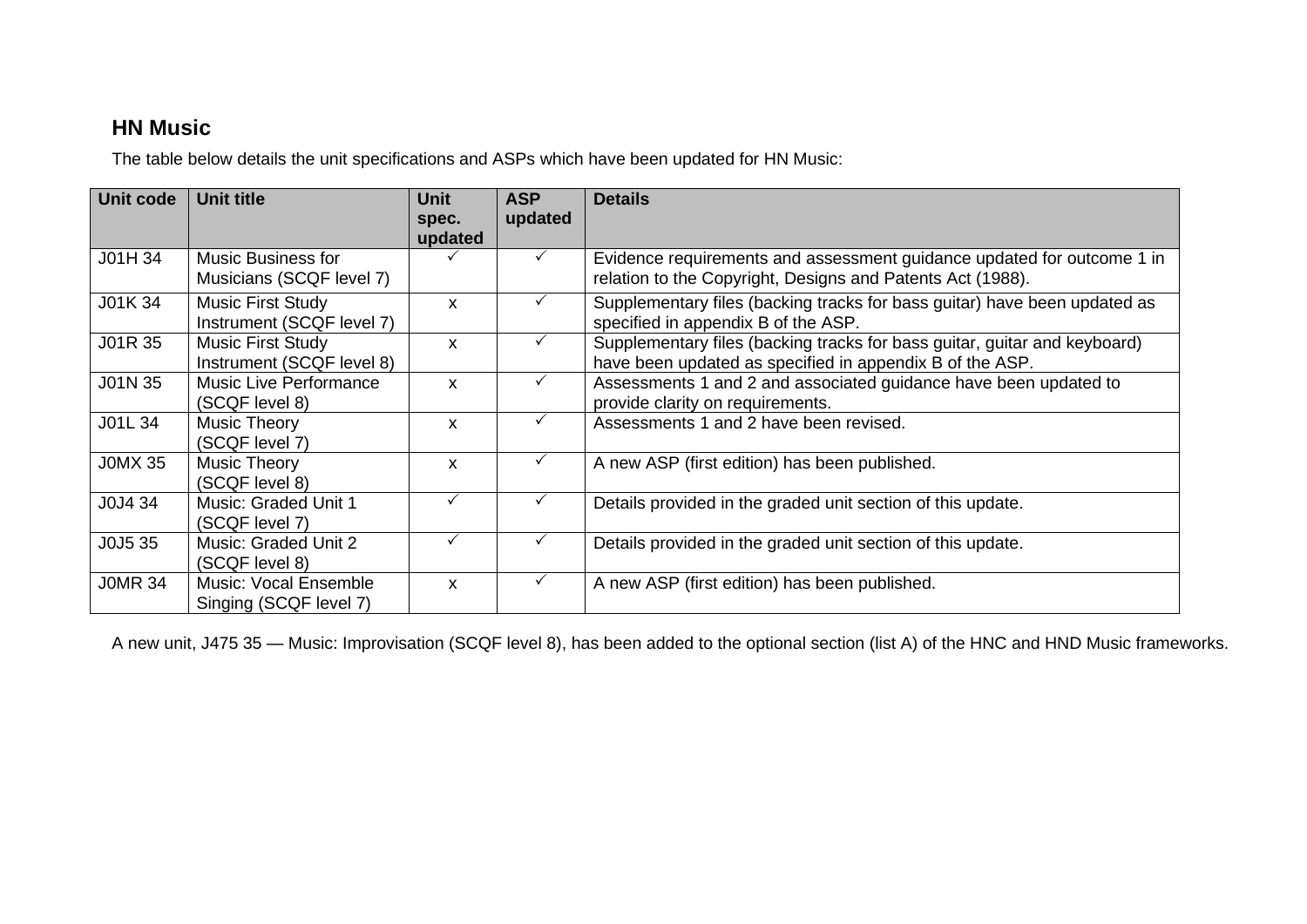### **HN Music**

The table below details the unit specifications and ASPs which have been updated for HN Music:

| <b>Unit code</b> | Unit title                                             | Unit<br>spec.<br>updated  | <b>ASP</b><br>updated | <b>Details</b>                                                                                                                        |
|------------------|--------------------------------------------------------|---------------------------|-----------------------|---------------------------------------------------------------------------------------------------------------------------------------|
| J01H 34          | <b>Music Business for</b><br>Musicians (SCQF level 7)  |                           |                       | Evidence requirements and assessment guidance updated for outcome 1 in<br>relation to the Copyright, Designs and Patents Act (1988).  |
| J01K 34          | Music First Study<br>Instrument (SCQF level 7)         | $\boldsymbol{\mathsf{x}}$ |                       | Supplementary files (backing tracks for bass guitar) have been updated as<br>specified in appendix B of the ASP.                      |
| J01R 35          | <b>Music First Study</b><br>Instrument (SCQF level 8)  | X                         |                       | Supplementary files (backing tracks for bass guitar, guitar and keyboard)<br>have been updated as specified in appendix B of the ASP. |
| J01N 35          | <b>Music Live Performance</b><br>(SCQF level 8)        | X                         |                       | Assessments 1 and 2 and associated guidance have been updated to<br>provide clarity on requirements.                                  |
| J01L 34          | <b>Music Theory</b><br>(SCQF level 7)                  | X                         |                       | Assessments 1 and 2 have been revised.                                                                                                |
| <b>JOMX 35</b>   | Music Theory<br>(SCQF level 8)                         | X                         |                       | A new ASP (first edition) has been published.                                                                                         |
| J0J4 34          | Music: Graded Unit 1<br>(SCQF level 7)                 |                           |                       | Details provided in the graded unit section of this update.                                                                           |
| J0J5 35          | Music: Graded Unit 2<br>(SCQF level 8)                 | $\checkmark$              |                       | Details provided in the graded unit section of this update.                                                                           |
| <b>JOMR 34</b>   | <b>Music: Vocal Ensemble</b><br>Singing (SCQF level 7) | X                         |                       | A new ASP (first edition) has been published.                                                                                         |

A new unit, J475 35 — Music: Improvisation (SCQF level 8), has been added to the optional section (list A) of the HNC and HND Music frameworks.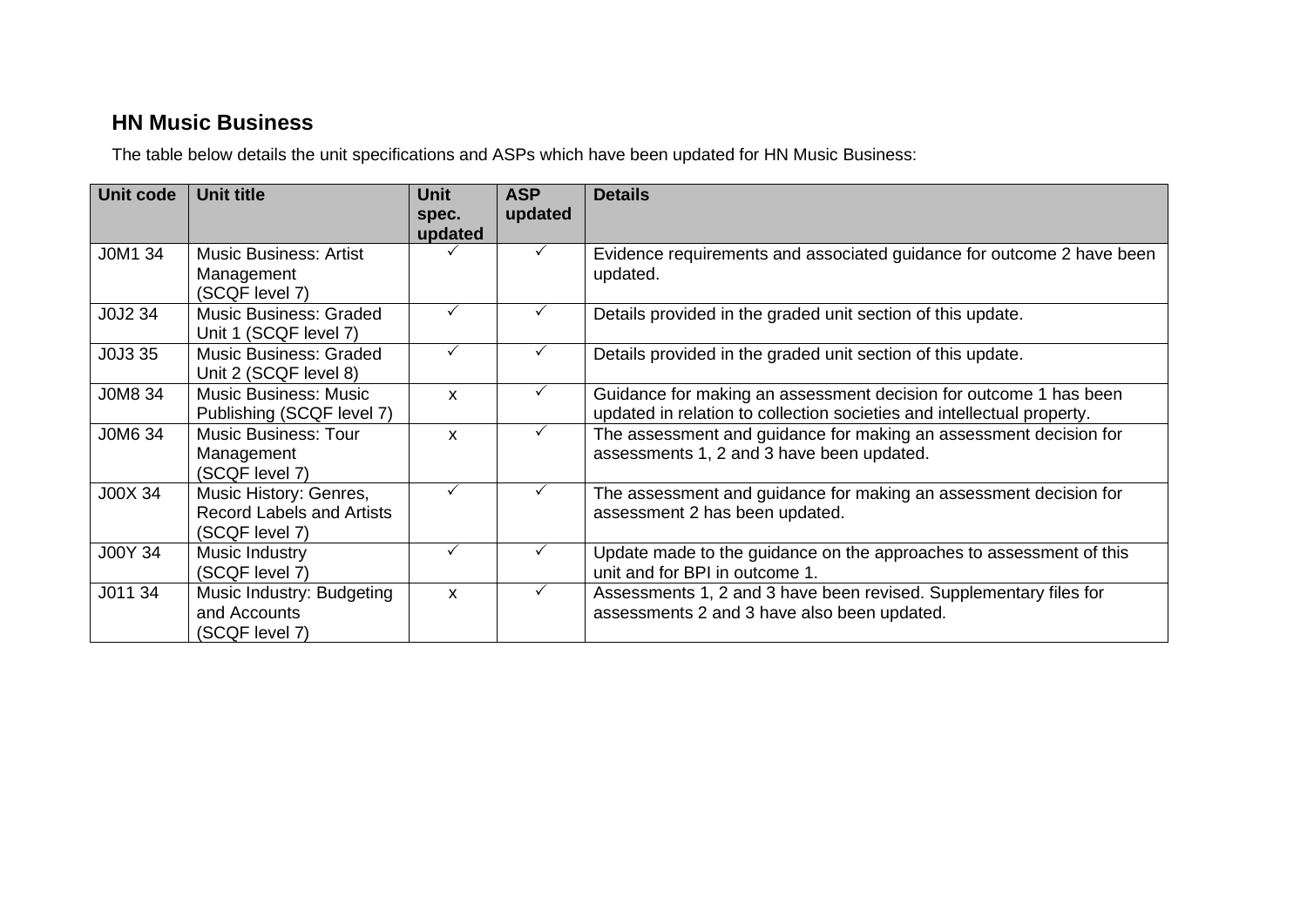## **HN Music Business**

The table below details the unit specifications and ASPs which have been updated for HN Music Business:

| Unit code | <b>Unit title</b>                                                            | <b>Unit</b><br>spec.<br>updated | <b>ASP</b><br>updated | <b>Details</b>                                                                                                                              |
|-----------|------------------------------------------------------------------------------|---------------------------------|-----------------------|---------------------------------------------------------------------------------------------------------------------------------------------|
| J0M1 34   | <b>Music Business: Artist</b><br>Management<br>(SCQF level 7)                |                                 |                       | Evidence requirements and associated guidance for outcome 2 have been<br>updated.                                                           |
| J0J2 34   | <b>Music Business: Graded</b><br>Unit 1 (SCQF level 7)                       |                                 |                       | Details provided in the graded unit section of this update.                                                                                 |
| J0J3 35   | <b>Music Business: Graded</b><br>Unit 2 (SCQF level 8)                       |                                 |                       | Details provided in the graded unit section of this update.                                                                                 |
| J0M8 34   | <b>Music Business: Music</b><br>Publishing (SCQF level 7)                    | X                               | ✓                     | Guidance for making an assessment decision for outcome 1 has been<br>updated in relation to collection societies and intellectual property. |
| J0M6 34   | <b>Music Business: Tour</b><br>Management<br>(SCQF level 7)                  | X                               | ✓                     | The assessment and guidance for making an assessment decision for<br>assessments 1, 2 and 3 have been updated.                              |
| J00X 34   | Music History: Genres,<br><b>Record Labels and Artists</b><br>(SCQF level 7) | ✓                               | ✓                     | The assessment and guidance for making an assessment decision for<br>assessment 2 has been updated.                                         |
| J00Y 34   | Music Industry<br>(SCQF level 7)                                             | ✓                               | ✓                     | Update made to the guidance on the approaches to assessment of this<br>unit and for BPI in outcome 1.                                       |
| J011 34   | Music Industry: Budgeting<br>and Accounts<br>(SCQF level 7)                  | X                               | ✓                     | Assessments 1, 2 and 3 have been revised. Supplementary files for<br>assessments 2 and 3 have also been updated.                            |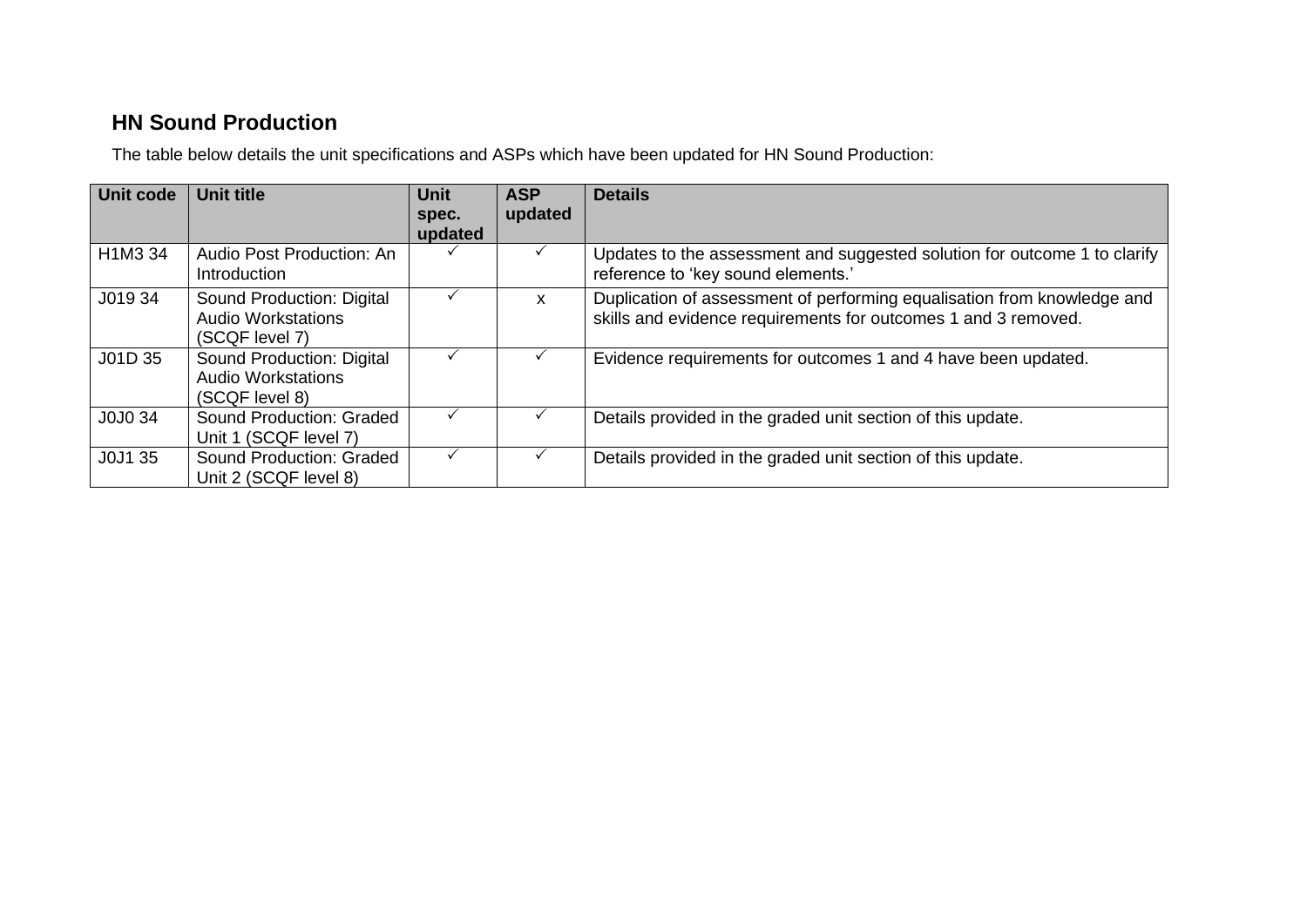## **HN Sound Production**

The table below details the unit specifications and ASPs which have been updated for HN Sound Production:

| <b>Unit code</b> | <b>Unit title</b>                                                        | <b>Unit</b><br>spec.<br>updated | <b>ASP</b><br>updated | <b>Details</b>                                                                                                                            |
|------------------|--------------------------------------------------------------------------|---------------------------------|-----------------------|-------------------------------------------------------------------------------------------------------------------------------------------|
| H1M3 34          | Audio Post Production: An<br>Introduction                                |                                 |                       | Updates to the assessment and suggested solution for outcome 1 to clarify<br>reference to 'key sound elements.'                           |
| J019 34          | Sound Production: Digital<br><b>Audio Workstations</b><br>(SCQF level 7) |                                 | X                     | Duplication of assessment of performing equalisation from knowledge and<br>skills and evidence requirements for outcomes 1 and 3 removed. |
| J01D 35          | Sound Production: Digital<br><b>Audio Workstations</b><br>(SCQF level 8) |                                 |                       | Evidence requirements for outcomes 1 and 4 have been updated.                                                                             |
| J0J0 34          | Sound Production: Graded<br>Unit 1 (SCQF level 7)                        |                                 |                       | Details provided in the graded unit section of this update.                                                                               |
| J0J1 35          | Sound Production: Graded<br>Unit 2 (SCQF level 8)                        |                                 |                       | Details provided in the graded unit section of this update.                                                                               |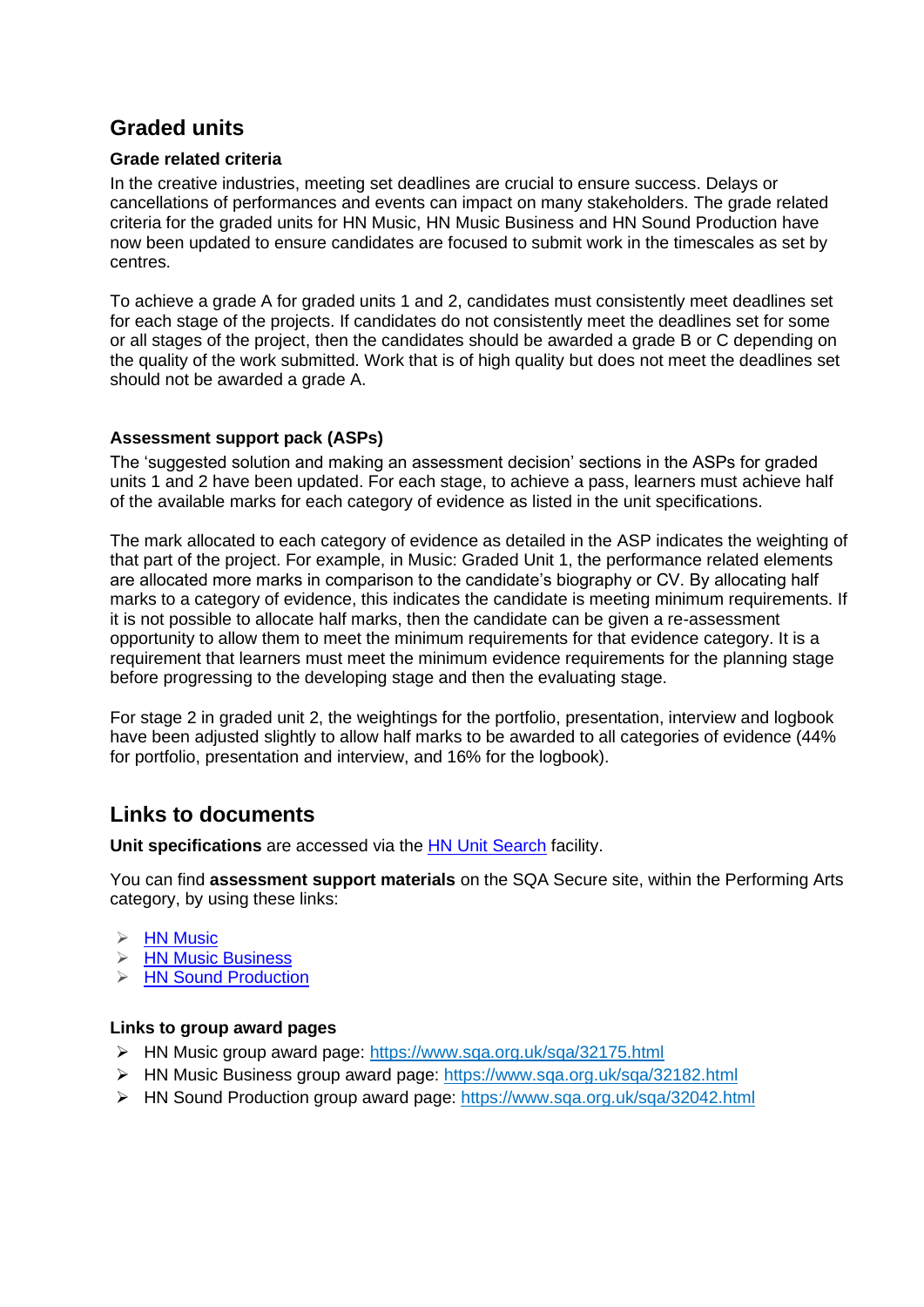### **Graded units**

#### **Grade related criteria**

In the creative industries, meeting set deadlines are crucial to ensure success. Delays or cancellations of performances and events can impact on many stakeholders. The grade related criteria for the graded units for HN Music, HN Music Business and HN Sound Production have now been updated to ensure candidates are focused to submit work in the timescales as set by centres.

To achieve a grade A for graded units 1 and 2, candidates must consistently meet deadlines set for each stage of the projects. If candidates do not consistently meet the deadlines set for some or all stages of the project, then the candidates should be awarded a grade B or C depending on the quality of the work submitted. Work that is of high quality but does not meet the deadlines set should not be awarded a grade A.

#### **Assessment support pack (ASPs)**

The 'suggested solution and making an assessment decision' sections in the ASPs for graded units 1 and 2 have been updated. For each stage, to achieve a pass, learners must achieve half of the available marks for each category of evidence as listed in the unit specifications.

The mark allocated to each category of evidence as detailed in the ASP indicates the weighting of that part of the project. For example, in Music: Graded Unit 1, the performance related elements are allocated more marks in comparison to the candidate's biography or CV. By allocating half marks to a category of evidence, this indicates the candidate is meeting minimum requirements. If it is not possible to allocate half marks, then the candidate can be given a re-assessment opportunity to allow them to meet the minimum requirements for that evidence category. It is a requirement that learners must meet the minimum evidence requirements for the planning stage before progressing to the developing stage and then the evaluating stage.

For stage 2 in graded unit 2, the weightings for the portfolio, presentation, interview and logbook have been adjusted slightly to allow half marks to be awarded to all categories of evidence (44% for portfolio, presentation and interview, and 16% for the logbook).

### **Links to documents**

**Unit specifications** are accessed via the [HN Unit Search](https://www.sqa.org.uk/sqa/controller?p_service=Front.searchHN&g=0&t=hn_unit&q=&r=&pContentID=411&pMenuID=117) facility.

You can find **assessment support materials** on the SQA Secure site, within the Performing Arts category, by using these links:

- $\triangleright$  [HN Music](https://secure.sqa.org.uk/secure/HN/HN_Sectors/Performing_Arts/HNC_HND_Music)
- ➢ [HN Music Business](https://secure.sqa.org.uk/secure/HN/HN_Sectors/Performing_Arts/HNC_HND_Music_Business)
- **▶ [HN Sound Production](https://secure.sqa.org.uk/secure/HN/HN_Sectors/Performing_Arts/HNC_HND_Sound_Production)**

#### **Links to group award pages**

- ➢ HN Music group award page:<https://www.sqa.org.uk/sqa/32175.html>
- ➢ HN Music Business group award page: <https://www.sqa.org.uk/sqa/32182.html>
- ➢ HN Sound Production group award page:<https://www.sqa.org.uk/sqa/32042.html>